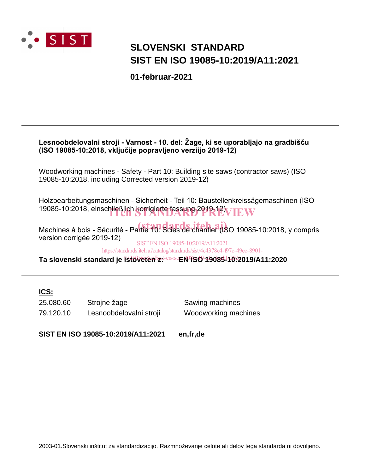

## **SLOVENSKI STANDARD SIST EN ISO 19085-10:2019/A11:2021**

**01-februar-2021**

#### **Lesnoobdelovalni stroji - Varnost - 10. del: Žage, ki se uporabljajo na gradbišču (ISO 19085-10:2018, vključije popravljeno verziijo 2019-12)**

Woodworking machines - Safety - Part 10: Building site saws (contractor saws) (ISO 19085-10:2018, including Corrected version 2019-12)

Holzbearbeitungsmaschinen - Sicherheit - Teil 10: Baustellenkreissägemaschinen (ISO 19085-10:2018, einschließlich korrigierte fassung 2019-12) VIEW

Machines à bois - Sécurité - Partie 10: Scies de chantier (ISO 19085-10:2018, y compris version corrigée 2019-12)

SIST EN ISO 19085-10:2019/A11:2021 https://standards.iteh.ai/catalog/standards/sist/4c4378e4-f97c-49ec-8901-

**Ta slovenski standard je istoveten z: EN ISO 19085-10:2019/A11:2020** 9725056e8aef/sist-en-iso-19085-10-2019-a11-2021

**ICS:**

25.080.60 Strojne žage Sawing machines 79.120.10 Lesnoobdelovalni stroji Woodworking machines

**SIST EN ISO 19085-10:2019/A11:2021 en,fr,de**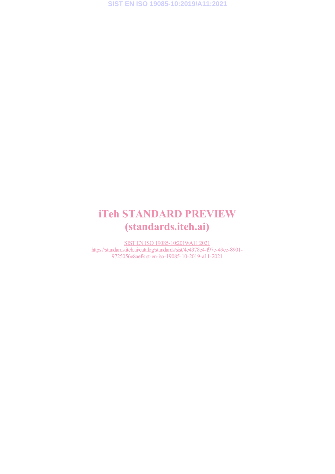**SIST EN ISO 19085-10:2019/A11:2021**

## iTeh STANDARD PREVIEW (standards.iteh.ai)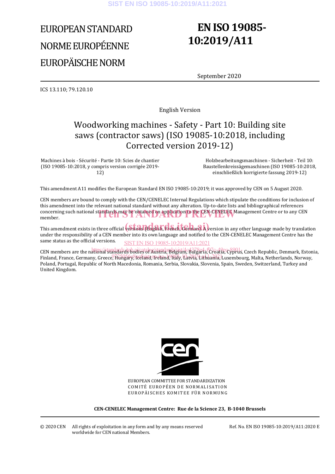# EUROPEAN STANDARD NORME EUROPÉENNE EUROPÄISCHE NORM

# **EN ISO 19085- 10:2019/A11**

September 2020

ICS 13.110; 79.120.10

English Version

### Woodworking machines - Safety - Part 10: Building site saws (contractor saws) (ISO 19085-10:2018, including Corrected version 2019-12)

Machines à bois - Sécurité - Partie 10: Scies de chantier (ISO 19085-10:2018, y compris version corrigée 2019- 12)

 Holzbearbeitungsmaschinen - Sicherheit - Teil 10: Baustellenkreissägemaschinen (ISO 19085-10:2018, einschließlich korrigierte fassung 2019-12)

This amendment A11 modifies the European Standard EN ISO 19085-10:2019; it was approved by CEN on 5 August 2020.

CEN members are bound to comply with the CEN/CENELEC Internal Regulations which stipulate the conditions for inclusion of this amendment into the relevant national standard without any alteration. Up-to-date lists and bibliographical references concerning such national standards may be obtained on application to the CEN-CENELEC Management Centre or to any CEN member. member.

This amendment exists in three official versions (English, French, German). A version in any other language made by translation under the responsibility of a CEN member into its own language and notified to the CEN-CENELEC Management Centre has the same status as the official versions. SIST EN ISO 19085-10:2019/A11:2021

CEN members are the national standards.jtch.ai/catalog/standards/sist/4c4378e4-f07c-49ecC8901ls, Czech Republic, Denmark, Estonia, en members are no members encept in the state of the state of the state of the state of the state of the state of the manner of the state of the state of the state of the state of the state of the state of the state of the Poland, Portugal, Republic of North Macedonia, Romania, Serbia, Slovakia, Slovenia, Spain, Sweden, Switzerland, Turkey and United Kingdom.



EUROPEAN COMMITTEE FOR STANDARDIZATION COMITÉ EUROPÉEN DE NORMALISATION EUROPÄISCHES KOMITEE FÜR NORMUNG

**CEN-CENELEC Management Centre: Rue de la Science 23, B-1040 Brussels** 

© 2020 CEN All rights of exploitation in any form and by any means reserved worldwide for CEN national Members.

Ref. No. EN ISO 19085-10:2019/A11:2020 E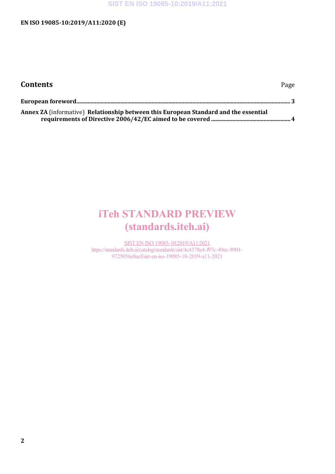#### **SIST EN ISO 19085-10:2019/A11:2021**

#### **EN ISO 19085-10:2019/A11:2020 (E)**

| Page |
|------|
|      |
|      |
|      |

## iTeh STANDARD PREVIEW (standards.iteh.ai)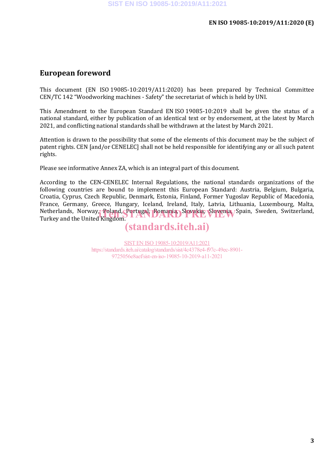#### **European foreword**

This document (EN ISO 19085-10:2019/A11:2020) has been prepared by Technical Committee CEN/TC 142 "Woodworking machines - Safety" the secretariat of which is held by UNI.

This Amendment to the European Standard EN ISO 19085-10:2019 shall be given the status of a national standard, either by publication of an identical text or by endorsement, at the latest by March 2021, and conflicting national standards shall be withdrawn at the latest by March 2021.

Attention is drawn to the possibility that some of the elements of this document may be the subject of patent rights. CEN [and/or CENELEC] shall not be held responsible for identifying any or all such patent rights.

Please see informative Annex ZA, which is an integral part of this document.

According to the CEN-CENELEC Internal Regulations, the national standards organizations of the following countries are bound to implement this European Standard: Austria, Belgium, Bulgaria, Croatia, Cyprus, Czech Republic, Denmark, Estonia, Finland, Former Yugoslav Republic of Macedonia, France, Germany, Greece, Hungary, Iceland, Ireland, Italy, Latvia, Lithuania, Luxembourg, Malta, Netherlands, Norway, Poland, Portugal, Romania, Slovakia, Slovenia, Spain, Sweden, Switzerland, Netherlands, Norway, Poland, Portugal, Romania, Slovakia, Slovenia, Sp<br>Turkey and the United Kingdom.

### (standards.iteh.ai)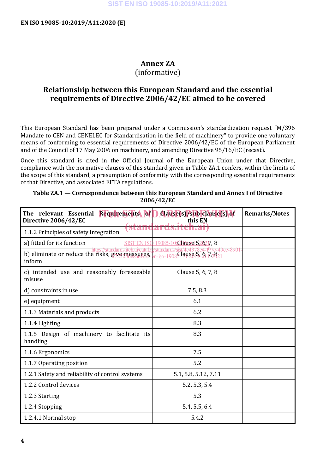## **Annex ZA**

#### (informative)

#### **Relationship between this European Standard and the essential requirements of Directive 2006/42/EC aimed to be covered**

This European Standard has been prepared under a Commission's standardization request "M/396 Mandate to CEN and CENELEC for Standardisation in the field of machinery" to provide one voluntary means of conforming to essential requirements of Directive 2006/42/EC of the European Parliament and of the Council of 17 May 2006 on machinery, and amending Directive 95/16/EC (recast).

Once this standard is cited in the Official Journal of the European Union under that Directive, compliance with the normative clauses of this standard given in Table ZA.1 confers, within the limits of the scope of this standard, a presumption of conformity with the corresponding essential requirements of that Directive, and associated EFTA regulations.

| <b>Requirements</b><br>The relevant Essential<br>$\vert$ ol<br>Directive 2006/42/EC | Clause(s)/sub-clause(s) of<br>this EN       | <b>Remarks/Notes</b> |
|-------------------------------------------------------------------------------------|---------------------------------------------|----------------------|
| sta<br>1.1.2 Principles of safety integration                                       | Saltenaal                                   |                      |
| a) fitted for its function                                                          | <b>SIST EN ISO 19085-10:Clause 52627, 8</b> |                      |
| b) eliminate or reduce the risks, give measures,<br>inform                          | $\frac{1}{2}$                               |                      |
| c) intended use and reasonably foreseeable<br>misuse                                | Clause 5, 6, 7, 8                           |                      |
| d) constraints in use                                                               | 7.5, 8.3                                    |                      |
| e) equipment                                                                        | 6.1                                         |                      |
| 1.1.3 Materials and products                                                        | 6.2                                         |                      |
| 1.1.4 Lighting                                                                      | 8.3                                         |                      |
| 1.1.5 Design of machinery to facilitate its<br>handling                             | 8.3                                         |                      |
| 1.1.6 Ergonomics                                                                    | 7.5                                         |                      |
| 1.1.7 Operating position                                                            | 5.2                                         |                      |
| 1.2.1 Safety and reliability of control systems                                     | 5.1, 5.8, 5.12, 7.11                        |                      |
| 1.2.2 Control devices                                                               | 5.2, 5.3, 5.4                               |                      |
| 1.2.3 Starting                                                                      | 5.3                                         |                      |
| 1.2.4 Stopping                                                                      | 5.4, 5.5, 6.4                               |                      |
| 1.2.4.1 Normal stop                                                                 | 5.4.2                                       |                      |

| Table ZA.1 — Correspondence between this European Standard and Annex I of Directive |
|-------------------------------------------------------------------------------------|
| 2006/42/EC                                                                          |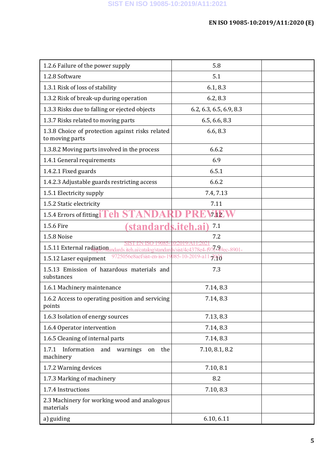#### **EN ISO 19085-10:2019/A11:2020 (E)**

| 1.2.6 Failure of the power supply                                           | 5.8                     |  |
|-----------------------------------------------------------------------------|-------------------------|--|
| 1.2.8 Software                                                              | 5.1                     |  |
| 1.3.1 Risk of loss of stability                                             | 6.1, 8.3                |  |
| 1.3.2 Risk of break-up during operation                                     | 6.2, 8.3                |  |
| 1.3.3 Risks due to falling or ejected objects                               | 6.2, 6.3, 6.5, 6.9, 8.3 |  |
| 1.3.7 Risks related to moving parts                                         | 6.5, 6.6, 8.3           |  |
| 1.3.8 Choice of protection against risks related<br>to moving parts         | 6.6, 8.3                |  |
| 1.3.8.2 Moving parts involved in the process                                | 6.6.2                   |  |
| 1.4.1 General requirements                                                  | 6.9                     |  |
| 1.4.2.1 Fixed guards                                                        | 6.5.1                   |  |
| 1.4.2.3 Adjustable guards restricting access                                | 6.6.2                   |  |
| 1.5.1 Electricity supply                                                    | 7.4, 7.13               |  |
| 1.5.2 Static electricity                                                    | 7.11                    |  |
| 1.5.4 Errors of fittinglTeh ST                                              | 7.12W                   |  |
| 1.5.6 Fire<br>standards.iteh.a                                              | 7.1                     |  |
| 1.5.8 Noise                                                                 | 7.2                     |  |
| 1.5.11 External radiation and arts iteh av catalog standards /sist/4c4378e4 | 7c-49ec-8901-           |  |
| 9725056e8aef/sist-en-iso-19085-10-2019-a11<br>1.5.12 Laser equipment        | $-2020$                 |  |
| 1.5.13 Emission of hazardous materials and<br>substances                    | 7.3                     |  |
| 1.6.1 Machinery maintenance                                                 | 7.14, 8.3               |  |
| 1.6.2 Access to operating position and servicing<br>points                  | 7.14, 8.3               |  |
| 1.6.3 Isolation of energy sources                                           | 7.13, 8.3               |  |
| 1.6.4 Operator intervention                                                 | 7.14, 8.3               |  |
| 1.6.5 Cleaning of internal parts                                            | 7.14, 8.3               |  |
| Information<br>and<br>1.7.1<br>warnings<br>the<br>on<br>machinery           | 7.10, 8.1, 8.2          |  |
| 1.7.2 Warning devices                                                       | 7.10, 8.1               |  |
| 1.7.3 Marking of machinery                                                  | 8.2                     |  |
| 1.7.4 Instructions                                                          | 7.10, 8.3               |  |
| 2.3 Machinery for working wood and analogous<br>materials                   |                         |  |
| a) guiding                                                                  | 6.10, 6.11              |  |